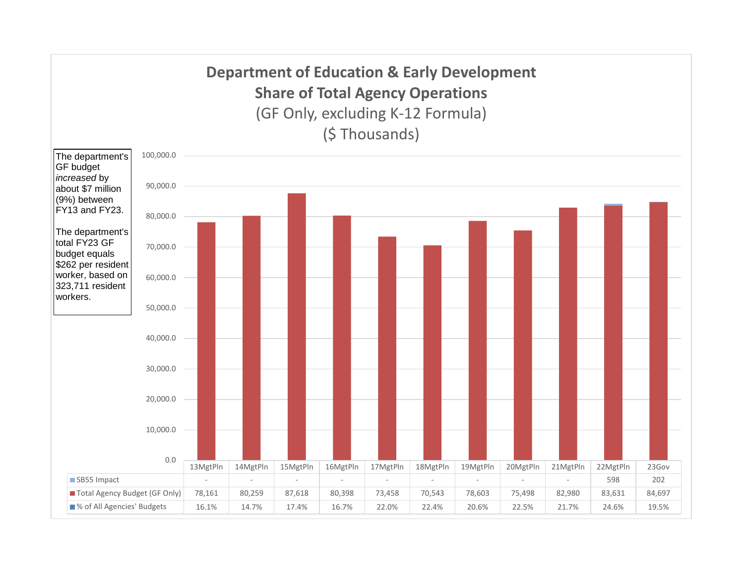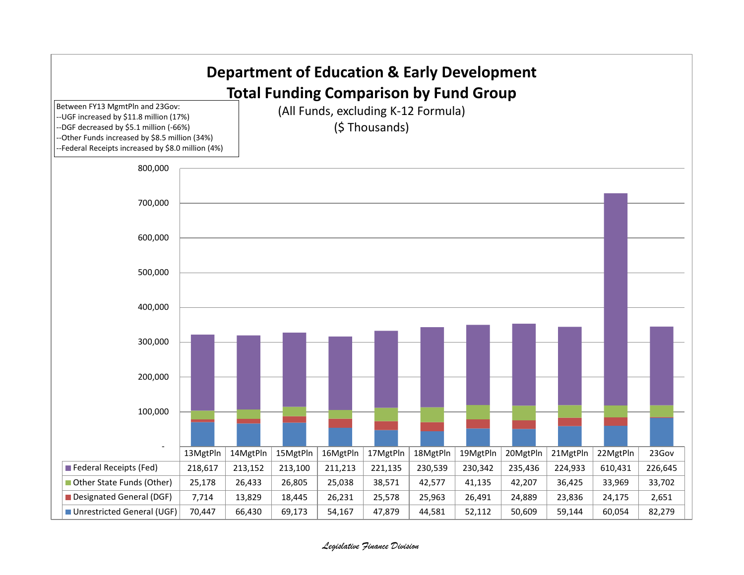

## *Legislative Finance Division*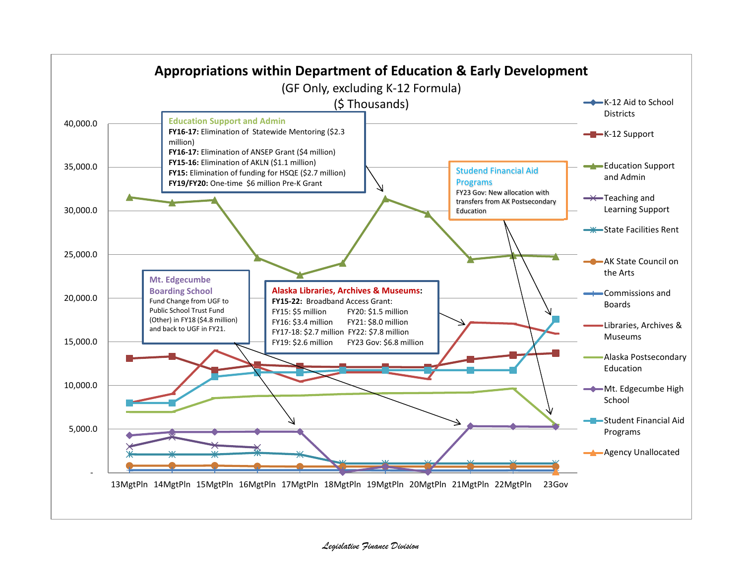